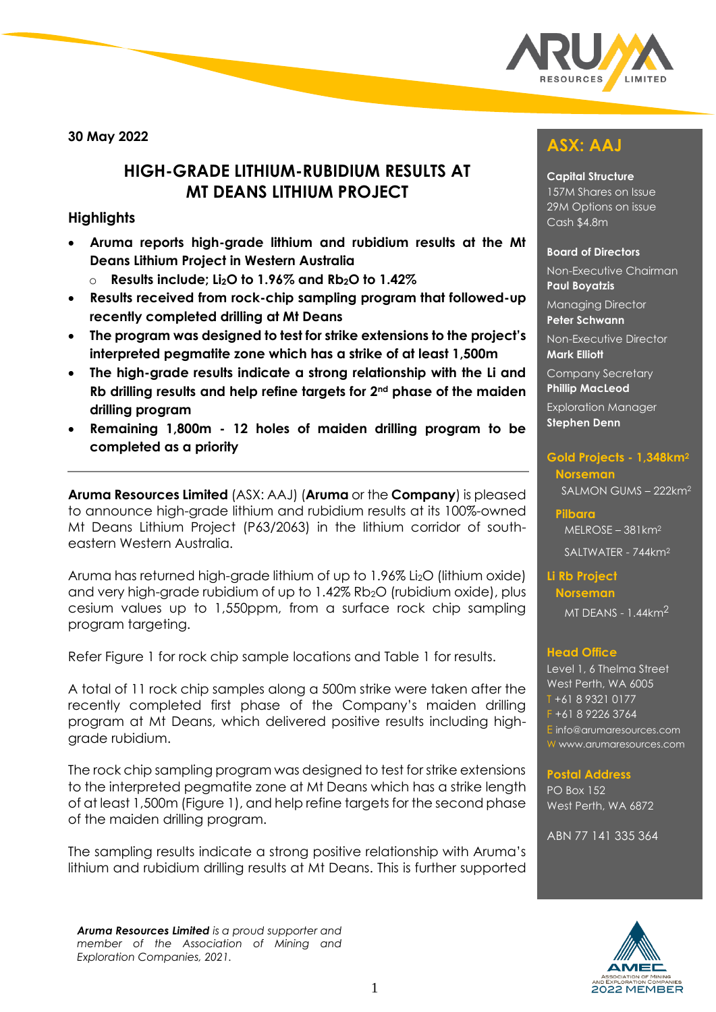

**30 May 2022**

## **HIGH-GRADE LITHIUM-RUBIDIUM RESULTS AT MT DEANS LITHIUM PROJECT**

### **Highlights**

- **Aruma reports high-grade lithium and rubidium results at the Mt Deans Lithium Project in Western Australia**
	- o **Results include; Li2O to 1.96% and Rb2O to 1.42%**
- **Results received from rock-chip sampling program that followed-up recently completed drilling at Mt Deans**
- **The program was designed to test for strike extensions to the project's interpreted pegmatite zone which has a strike of at least 1,500m**
- **The high-grade results indicate a strong relationship with the Li and Rb drilling results and help refine targets for 2nd phase of the maiden drilling program**
- **Remaining 1,800m - 12 holes of maiden drilling program to be completed as a priority**

**Aruma Resources Limited** (ASX: AAJ) (**Aruma** or the **Company**) is pleased to announce high-grade lithium and rubidium results at its 100%-owned Mt Deans Lithium Project (P63/2063) in the lithium corridor of southeastern Western Australia.

Aruma has returned high-grade lithium of up to 1.96% Li<sub>2</sub>O (lithium oxide) and very high-grade rubidium of up to 1.42% Rb2O (rubidium oxide), plus cesium values up to 1,550ppm, from a surface rock chip sampling program targeting.

Refer Figure 1 for rock chip sample locations and Table 1 for results.

A total of 11 rock chip samples along a 500m strike were taken after the recently completed first phase of the Company's maiden drilling program at Mt Deans, which delivered positive results including highgrade rubidium.

The rock chip sampling program was designed to test for strike extensions to the interpreted pegmatite zone at Mt Deans which has a strike length of at least 1,500m (Figure 1), and help refine targets for the second phase of the maiden drilling program.

The sampling results indicate a strong positive relationship with Aruma's lithium and rubidium drilling results at Mt Deans. This is further supported

*Aruma Resources Limited is a proud supporter and member of the Association of Mining and Exploration Companies, 2021.* 

# **ASX: AAJ**

#### **Capital Structure**

157M Shares on Issue 29M Options on issue Cash \$4.8m

#### **Board of Directors**

Non-Executive Chairman **Paul Boyatzis** 

Managing Director **Peter Schwann**

Non-Executive Director **Mark Elliott**

Company Secretary **Phillip MacLeod** 

Exploration Manager **Stephen Denn** 

#### **Gold Projects - 1,348km<sup>2</sup> Norseman**  SALMON GUMS – 222km<sup>2</sup>

**Pilbara**  MELROSE – 381km<sup>2</sup>

SALTWATER - 744km<sup>2</sup>

**Li Rb Project Norseman**

MT DEANS - 1.44km2

#### **Head Office**

Level 1, 6 Thelma Street West Perth, WA 6005 T +61 8 9321 0177 F +61 8 9226 3764 E [info@arumaresources.com](mailto:info@arumaresources.com) W www.arumaresources.com

#### **Postal Address**

PO Box 152 West Perth, WA 6872

ABN 77 141 335 364

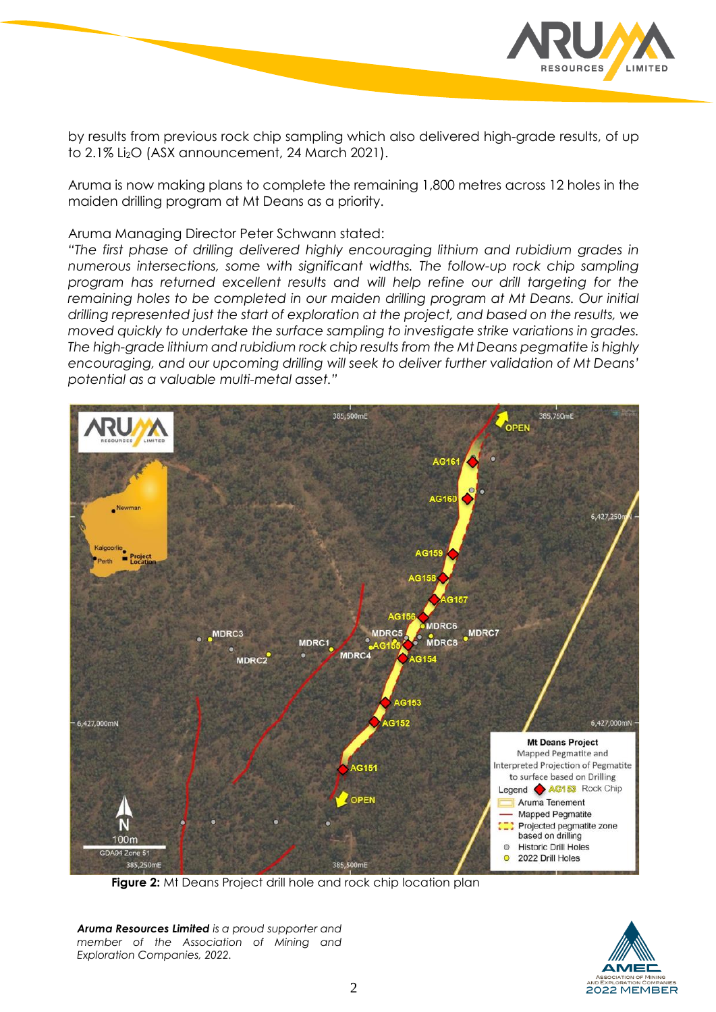

by results from previous rock chip sampling which also delivered high-grade results, of up to 2.1% Li<sub>2</sub>O (ASX announcement, 24 March 2021).

Aruma is now making plans to complete the remaining 1,800 metres across 12 holes in the maiden drilling program at Mt Deans as a priority.

Aruma Managing Director Peter Schwann stated:

*"The first phase of drilling delivered highly encouraging lithium and rubidium grades in numerous intersections, some with significant widths. The follow-up rock chip sampling program has returned excellent results and will help refine our drill targeting for the remaining holes to be completed in our maiden drilling program at Mt Deans. Our initial drilling represented just the start of exploration at the project, and based on the results, we moved quickly to undertake the surface sampling to investigate strike variations in grades. The high-grade lithium and rubidium rock chip results from the Mt Deans pegmatite is highly encouraging, and our upcoming drilling will seek to deliver further validation of Mt Deans' potential as a valuable multi-metal asset."*



**Figure 2:** Mt Deans Project drill hole and rock chip location plan

*Aruma Resources Limited is a proud supporter and member of the Association of Mining and Exploration Companies, 2022.* 

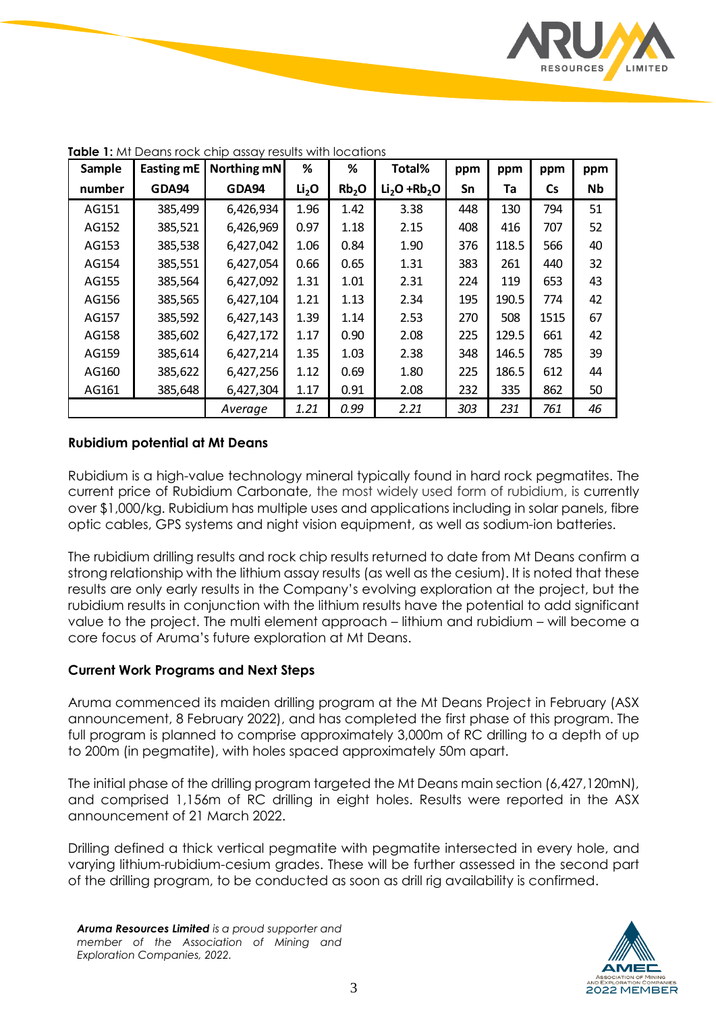

| Sample | Easting mE | Northing mN | %                 | ℅                 | Total%        | ppm | ppm   | ppm       | ppm       |
|--------|------------|-------------|-------------------|-------------------|---------------|-----|-------|-----------|-----------|
| number | GDA94      | GDA94       | Li <sub>2</sub> O | Rb <sub>2</sub> O | $Li2O + Rb2O$ | Sn  | Ta    | <b>Cs</b> | <b>Nb</b> |
| AG151  | 385,499    | 6,426,934   | 1.96              | 1.42              | 3.38          | 448 | 130   | 794       | 51        |
| AG152  | 385,521    | 6,426,969   | 0.97              | 1.18              | 2.15          | 408 | 416   | 707       | 52        |
| AG153  | 385,538    | 6,427,042   | 1.06              | 0.84              | 1.90          | 376 | 118.5 | 566       | 40        |
| AG154  | 385,551    | 6,427,054   | 0.66              | 0.65              | 1.31          | 383 | 261   | 440       | 32        |
| AG155  | 385,564    | 6,427,092   | 1.31              | 1.01              | 2.31          | 224 | 119   | 653       | 43        |
| AG156  | 385,565    | 6,427,104   | 1.21              | 1.13              | 2.34          | 195 | 190.5 | 774       | 42        |
| AG157  | 385,592    | 6,427,143   | 1.39              | 1.14              | 2.53          | 270 | 508   | 1515      | 67        |
| AG158  | 385,602    | 6,427,172   | 1.17              | 0.90              | 2.08          | 225 | 129.5 | 661       | 42        |
| AG159  | 385,614    | 6,427,214   | 1.35              | 1.03              | 2.38          | 348 | 146.5 | 785       | 39        |
| AG160  | 385,622    | 6,427,256   | 1.12              | 0.69              | 1.80          | 225 | 186.5 | 612       | 44        |
| AG161  | 385,648    | 6,427,304   | 1.17              | 0.91              | 2.08          | 232 | 335   | 862       | 50        |
|        |            | Average     | 1.21              | 0.99              | 2.21          | 303 | 231   | 761       | 46        |

**Table 1:** Mt Deans rock chip assay results with locations

#### **Rubidium potential at Mt Deans**

Rubidium is a high-value technology mineral typically found in hard rock pegmatites. The current price of Rubidium Carbonate, the most widely used form of rubidium, is currently over \$1,000/kg. Rubidium has multiple uses and applications including in solar panels, fibre optic cables, GPS systems and night vision equipment, as well as sodium-ion batteries.

The rubidium drilling results and rock chip results returned to date from Mt Deans confirm a strong relationship with the lithium assay results (as well as the cesium). It is noted that these results are only early results in the Company's evolving exploration at the project, but the rubidium results in conjunction with the lithium results have the potential to add significant value to the project. The multi element approach – lithium and rubidium – will become a core focus of Aruma's future exploration at Mt Deans.

#### **Current Work Programs and Next Steps**

Aruma commenced its maiden drilling program at the Mt Deans Project in February (ASX announcement, 8 February 2022), and has completed the first phase of this program. The full program is planned to comprise approximately 3,000m of RC drilling to a depth of up to 200m (in pegmatite), with holes spaced approximately 50m apart.

The initial phase of the drilling program targeted the Mt Deans main section (6,427,120mN), and comprised 1,156m of RC drilling in eight holes. Results were reported in the ASX announcement of 21 March 2022.

Drilling defined a thick vertical pegmatite with pegmatite intersected in every hole, and varying lithium-rubidium-cesium grades. These will be further assessed in the second part of the drilling program, to be conducted as soon as drill rig availability is confirmed.

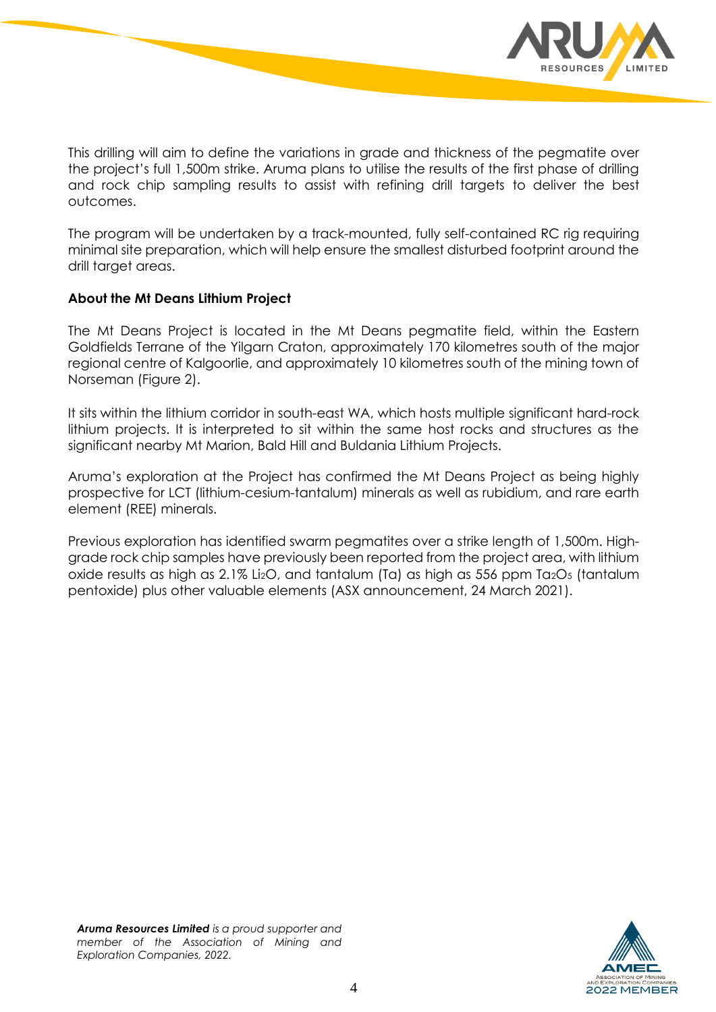

This drilling will aim to define the variations in grade and thickness of the pegmatite over the project's full 1,500m strike. Aruma plans to utilise the results of the first phase of drilling and rock chip sampling results to assist with refining drill targets to deliver the best outcomes.

The program will be undertaken by a track-mounted, fully self-contained RC rig requiring minimal site preparation, which will help ensure the smallest disturbed footprint around the drill target areas.

#### **About the Mt Deans Lithium Project**

The Mt Deans Project is located in the Mt Deans pegmatite field, within the Eastern Goldfields Terrane of the Yilgarn Craton, approximately 170 kilometres south of the major regional centre of Kalgoorlie, and approximately 10 kilometres south of the mining town of Norseman (Figure 2).

It sits within the lithium corridor in south-east WA, which hosts multiple significant hard-rock lithium projects. It is interpreted to sit within the same host rocks and structures as the significant nearby Mt Marion, Bald Hill and Buldania Lithium Projects.

Aruma's exploration at the Project has confirmed the Mt Deans Project as being highly prospective for LCT (lithium-cesium-tantalum) minerals as well as rubidium, and rare earth element (REE) minerals.

Previous exploration has identified swarm pegmatites over a strike length of 1,500m. Highgrade rock chip samples have previously been reported from the project area, with lithium oxide results as high as  $2.1\%$  Li<sub>2</sub>O, and tantalum (Ta) as high as 556 ppm Ta<sub>2</sub>O<sub>5</sub> (tantalum pentoxide) plus other valuable elements (ASX announcement, 24 March 2021).



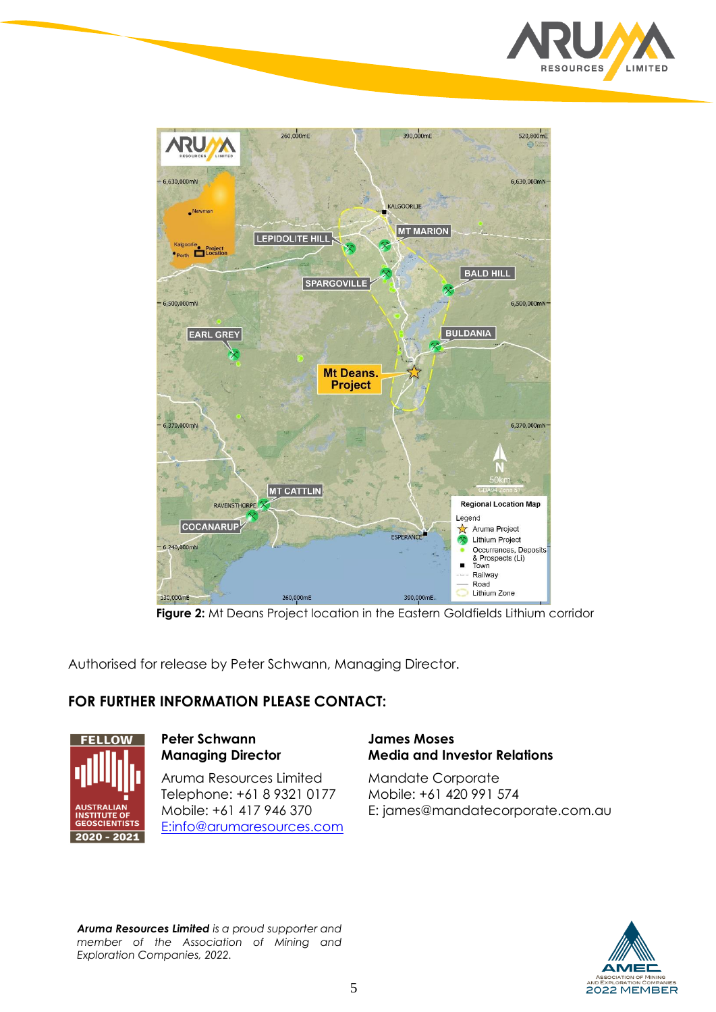



**Figure 2:** Mt Deans Project location in the Eastern Goldfields Lithium corridor

Authorised for release by Peter Schwann, Managing Director.

### **FOR FURTHER INFORMATION PLEASE CONTACT:**



**Peter Schwann Managing Director**

Aruma Resources Limited Telephone: +61 8 9321 0177 Mobile: +61 417 946 370 E[:info@arumaresources.com](mailto:info@arumaresources.com)

### **James Moses Media and Investor Relations**

Mandate Corporate Mobile: +61 420 991 574 E: james@mandatecorporate.com.au



*Aruma Resources Limited is a proud supporter and member of the Association of Mining and Exploration Companies, 2022.*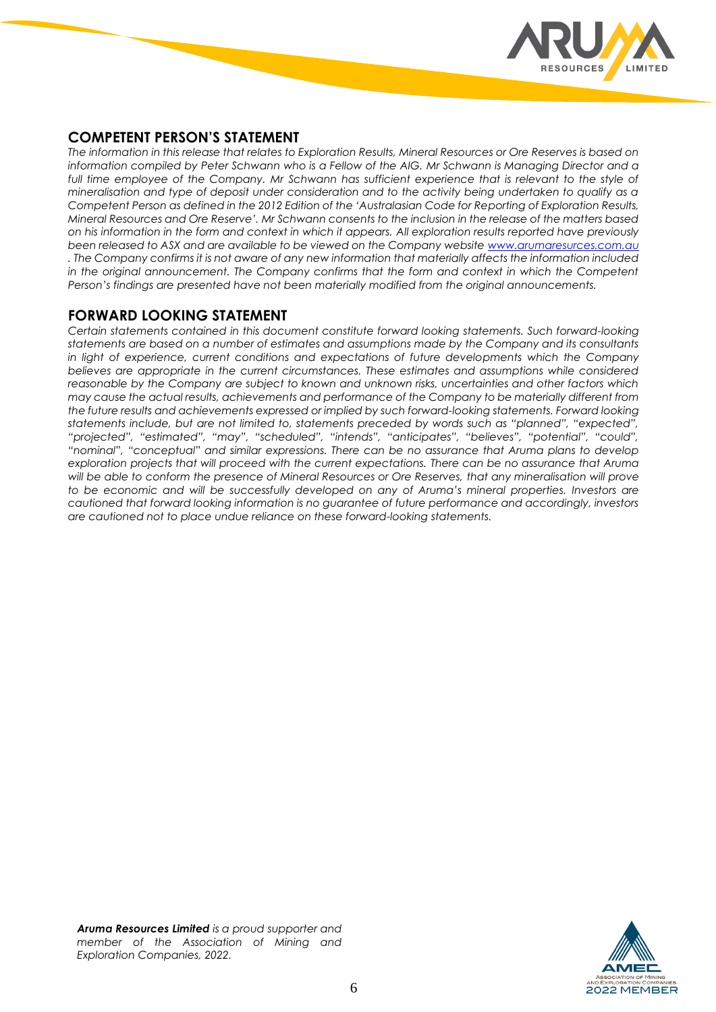

### **COMPETENT PERSON'S STATEMENT**

*The information in this release that relates to Exploration Results, Mineral Resources or Ore Reserves is based on information compiled by Peter Schwann who is a Fellow of the AIG. Mr Schwann is Managing Director and a*  full time employee of the Company. Mr Schwann has sufficient experience that is relevant to the style of *mineralisation and type of deposit under consideration and to the activity being undertaken to qualify as a Competent Person as defined in the 2012 Edition of the 'Australasian Code for Reporting of Exploration Results, Mineral Resources and Ore Reserve'. Mr Schwann consents to the inclusion in the release of the matters based on his information in the form and context in which it appears. All exploration results reported have previously been released to ASX and are available to be viewed on the Company websit[e www.arumaresurces.com.au](http://www.arumaresurces.com.au/) . The Company confirms it is not aware of any new information that materially affects the information included* in the original announcement. The Company confirms that the form and context in which the Competent *Person's findings are presented have not been materially modified from the original announcements.*

### **FORWARD LOOKING STATEMENT**

*Certain statements contained in this document constitute forward looking statements. Such forward-looking statements are based on a number of estimates and assumptions made by the Company and its consultants in light of experience, current conditions and expectations of future developments which the Company believes are appropriate in the current circumstances. These estimates and assumptions while considered reasonable by the Company are subject to known and unknown risks, uncertainties and other factors which may cause the actual results, achievements and performance of the Company to be materially different from the future results and achievements expressed or implied by such forward-looking statements. Forward looking statements include, but are not limited to, statements preceded by words such as "planned", "expected", "projected", "estimated", "may", "scheduled", "intends", "anticipates", "believes", "potential", "could", "nominal", "conceptual" and similar expressions. There can be no assurance that Aruma plans to develop exploration projects that will proceed with the current expectations. There can be no assurance that Aruma will be able to conform the presence of Mineral Resources or Ore Reserves, that any mineralisation will prove*  to be economic and will be successfully developed on any of Aruma's mineral properties. Investors are *cautioned that forward looking information is no guarantee of future performance and accordingly, investors are cautioned not to place undue reliance on these forward-looking statements.* 

*Aruma Resources Limited is a proud supporter and member of the Association of Mining and Exploration Companies, 2022.* 

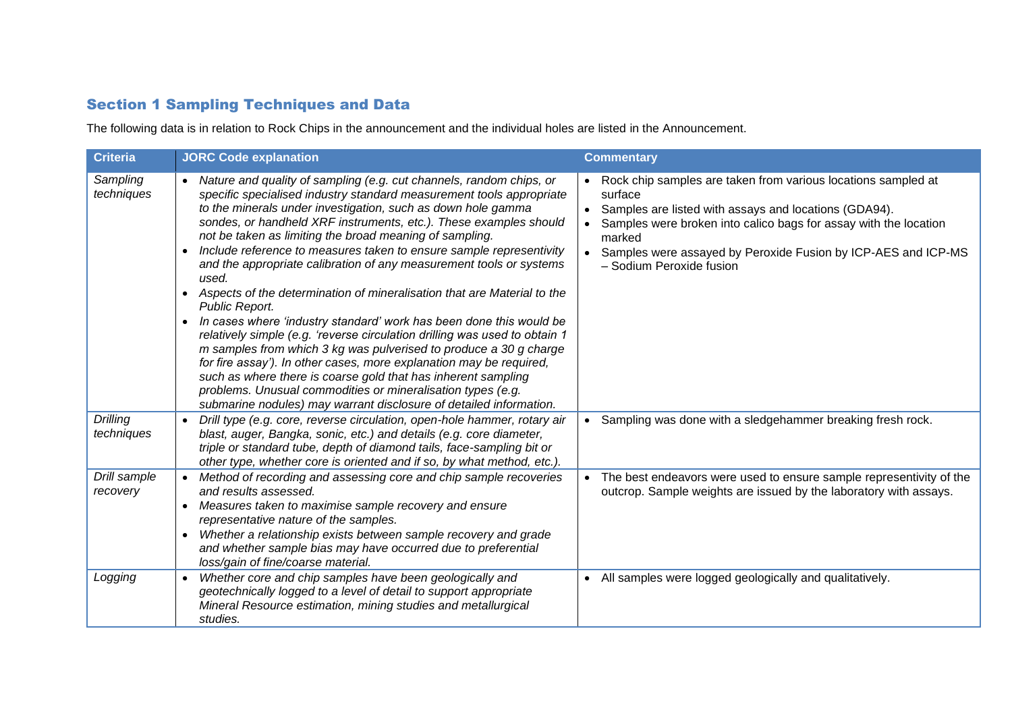### Section 1 Sampling Techniques and Data

The following data is in relation to Rock Chips in the announcement and the individual holes are listed in the Announcement.

| <b>Criteria</b>               | <b>JORC Code explanation</b>                                                                                                                                                                                                                                                                                                                                                                                                                                                                                                                                                                                                                                                                                                                                                                                                                                                                                                                                                                                                                                                                                                                  | <b>Commentary</b>                                                                                                                                                                                                                                                                                            |
|-------------------------------|-----------------------------------------------------------------------------------------------------------------------------------------------------------------------------------------------------------------------------------------------------------------------------------------------------------------------------------------------------------------------------------------------------------------------------------------------------------------------------------------------------------------------------------------------------------------------------------------------------------------------------------------------------------------------------------------------------------------------------------------------------------------------------------------------------------------------------------------------------------------------------------------------------------------------------------------------------------------------------------------------------------------------------------------------------------------------------------------------------------------------------------------------|--------------------------------------------------------------------------------------------------------------------------------------------------------------------------------------------------------------------------------------------------------------------------------------------------------------|
| Sampling<br>techniques        | Nature and quality of sampling (e.g. cut channels, random chips, or<br>$\bullet$<br>specific specialised industry standard measurement tools appropriate<br>to the minerals under investigation, such as down hole gamma<br>sondes, or handheld XRF instruments, etc.). These examples should<br>not be taken as limiting the broad meaning of sampling.<br>Include reference to measures taken to ensure sample representivity<br>$\bullet$<br>and the appropriate calibration of any measurement tools or systems<br>used.<br>Aspects of the determination of mineralisation that are Material to the<br>Public Report.<br>In cases where 'industry standard' work has been done this would be<br>$\bullet$<br>relatively simple (e.g. 'reverse circulation drilling was used to obtain 1<br>m samples from which 3 kg was pulverised to produce a 30 g charge<br>for fire assay'). In other cases, more explanation may be required,<br>such as where there is coarse gold that has inherent sampling<br>problems. Unusual commodities or mineralisation types (e.g.<br>submarine nodules) may warrant disclosure of detailed information. | Rock chip samples are taken from various locations sampled at<br>surface<br>Samples are listed with assays and locations (GDA94).<br>Samples were broken into calico bags for assay with the location<br>marked<br>Samples were assayed by Peroxide Fusion by ICP-AES and ICP-MS<br>- Sodium Peroxide fusion |
| <b>Drilling</b><br>techniques | Drill type (e.g. core, reverse circulation, open-hole hammer, rotary air<br>$\bullet$<br>blast, auger, Bangka, sonic, etc.) and details (e.g. core diameter,<br>triple or standard tube, depth of diamond tails, face-sampling bit or<br>other type, whether core is oriented and if so, by what method, etc.).                                                                                                                                                                                                                                                                                                                                                                                                                                                                                                                                                                                                                                                                                                                                                                                                                               | • Sampling was done with a sledgehammer breaking fresh rock.                                                                                                                                                                                                                                                 |
| Drill sample<br>recovery      | Method of recording and assessing core and chip sample recoveries<br>and results assessed.<br>Measures taken to maximise sample recovery and ensure<br>representative nature of the samples.<br>Whether a relationship exists between sample recovery and grade<br>$\bullet$<br>and whether sample bias may have occurred due to preferential<br>loss/gain of fine/coarse material.                                                                                                                                                                                                                                                                                                                                                                                                                                                                                                                                                                                                                                                                                                                                                           | The best endeavors were used to ensure sample representivity of the<br>outcrop. Sample weights are issued by the laboratory with assays.                                                                                                                                                                     |
| Logging                       | Whether core and chip samples have been geologically and<br>$\bullet$<br>geotechnically logged to a level of detail to support appropriate<br>Mineral Resource estimation, mining studies and metallurgical<br>studies.                                                                                                                                                                                                                                                                                                                                                                                                                                                                                                                                                                                                                                                                                                                                                                                                                                                                                                                       | All samples were logged geologically and qualitatively.                                                                                                                                                                                                                                                      |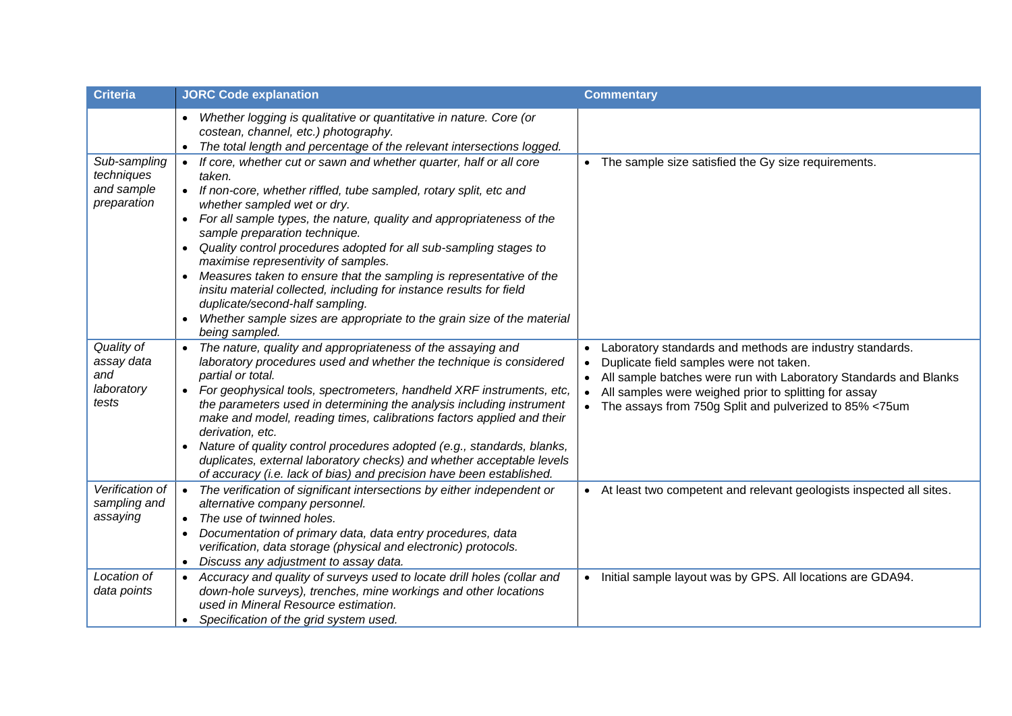| <b>Criteria</b>                                         | <b>JORC Code explanation</b>                                                                                                                                                                                                                                                                                                                                                                                                                                                                                                                                                                                                                                                                                 | <b>Commentary</b>                                                                                                                                                                                                                                                                            |
|---------------------------------------------------------|--------------------------------------------------------------------------------------------------------------------------------------------------------------------------------------------------------------------------------------------------------------------------------------------------------------------------------------------------------------------------------------------------------------------------------------------------------------------------------------------------------------------------------------------------------------------------------------------------------------------------------------------------------------------------------------------------------------|----------------------------------------------------------------------------------------------------------------------------------------------------------------------------------------------------------------------------------------------------------------------------------------------|
|                                                         | Whether logging is qualitative or quantitative in nature. Core (or<br>$\bullet$<br>costean, channel, etc.) photography.<br>The total length and percentage of the relevant intersections logged.<br>$\bullet$                                                                                                                                                                                                                                                                                                                                                                                                                                                                                                |                                                                                                                                                                                                                                                                                              |
| Sub-sampling<br>techniques<br>and sample<br>preparation | If core, whether cut or sawn and whether quarter, half or all core<br>$\bullet$<br>taken.<br>If non-core, whether riffled, tube sampled, rotary split, etc and<br>whether sampled wet or dry.<br>For all sample types, the nature, quality and appropriateness of the<br>sample preparation technique.<br>Quality control procedures adopted for all sub-sampling stages to<br>maximise representivity of samples.<br>Measures taken to ensure that the sampling is representative of the<br>$\bullet$<br>insitu material collected, including for instance results for field<br>duplicate/second-half sampling.<br>Whether sample sizes are appropriate to the grain size of the material<br>being sampled. | • The sample size satisfied the Gy size requirements.                                                                                                                                                                                                                                        |
| Quality of<br>assay data<br>and<br>laboratory<br>tests  | The nature, quality and appropriateness of the assaying and<br>laboratory procedures used and whether the technique is considered<br>partial or total.<br>For geophysical tools, spectrometers, handheld XRF instruments, etc,<br>$\bullet$<br>the parameters used in determining the analysis including instrument<br>make and model, reading times, calibrations factors applied and their<br>derivation, etc.<br>Nature of quality control procedures adopted (e.g., standards, blanks,<br>$\bullet$<br>duplicates, external laboratory checks) and whether acceptable levels<br>of accuracy (i.e. lack of bias) and precision have been established.                                                     | Laboratory standards and methods are industry standards.<br>Duplicate field samples were not taken.<br>All sample batches were run with Laboratory Standards and Blanks<br>All samples were weighed prior to splitting for assay<br>• The assays from 750g Split and pulverized to 85% <75um |
| Verification of<br>sampling and<br>assaying             | The verification of significant intersections by either independent or<br>$\bullet$<br>alternative company personnel.<br>The use of twinned holes.<br>$\bullet$<br>Documentation of primary data, data entry procedures, data<br>$\bullet$<br>verification, data storage (physical and electronic) protocols.<br>Discuss any adjustment to assay data.                                                                                                                                                                                                                                                                                                                                                       | • At least two competent and relevant geologists inspected all sites.                                                                                                                                                                                                                        |
| Location of<br>data points                              | Accuracy and quality of surveys used to locate drill holes (collar and<br>down-hole surveys), trenches, mine workings and other locations<br>used in Mineral Resource estimation.<br>Specification of the grid system used.                                                                                                                                                                                                                                                                                                                                                                                                                                                                                  | Initial sample layout was by GPS. All locations are GDA94.<br>$\bullet$                                                                                                                                                                                                                      |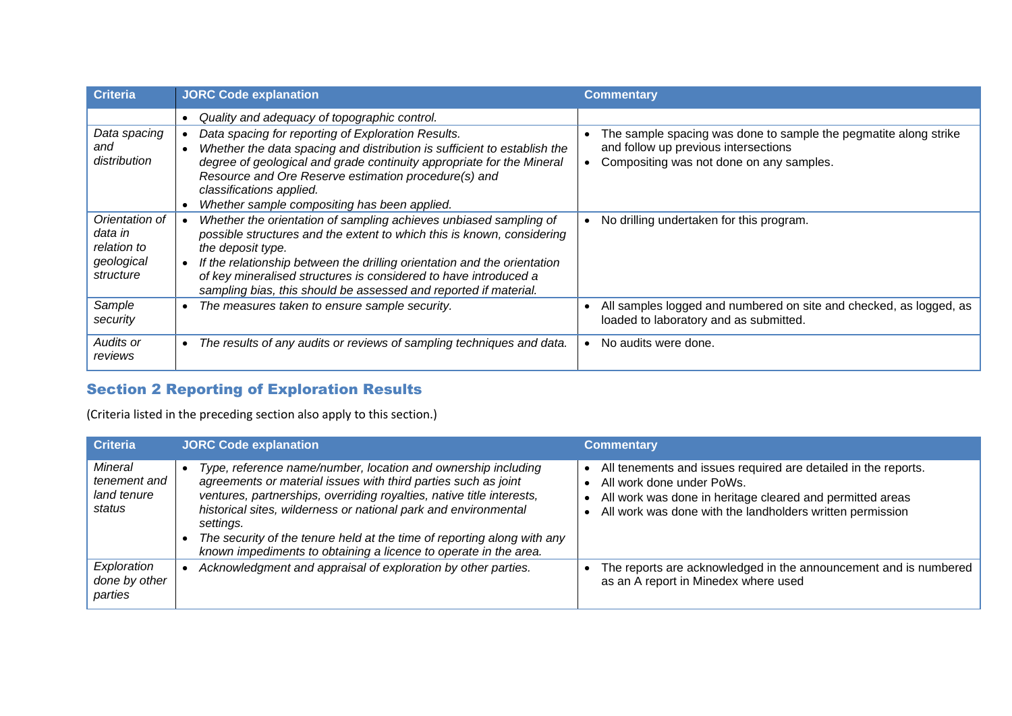| <b>Criteria</b>                                                     | <b>JORC Code explanation</b>                                                                                                                                                                                                                                                                                                                                                                | <b>Commentary</b>                                                                                                                                    |
|---------------------------------------------------------------------|---------------------------------------------------------------------------------------------------------------------------------------------------------------------------------------------------------------------------------------------------------------------------------------------------------------------------------------------------------------------------------------------|------------------------------------------------------------------------------------------------------------------------------------------------------|
| Data spacing<br>and<br>distribution                                 | Quality and adequacy of topographic control.<br>Data spacing for reporting of Exploration Results.<br>Whether the data spacing and distribution is sufficient to establish the<br>degree of geological and grade continuity appropriate for the Mineral<br>Resource and Ore Reserve estimation procedure(s) and<br>classifications applied.<br>Whether sample compositing has been applied. | The sample spacing was done to sample the pegmatite along strike<br>and follow up previous intersections<br>Compositing was not done on any samples. |
| Orientation of<br>data in<br>relation to<br>geological<br>structure | Whether the orientation of sampling achieves unbiased sampling of<br>possible structures and the extent to which this is known, considering<br>the deposit type.<br>If the relationship between the drilling orientation and the orientation<br>of key mineralised structures is considered to have introduced a<br>sampling bias, this should be assessed and reported if material.        | No drilling undertaken for this program.                                                                                                             |
| Sample<br>security                                                  | The measures taken to ensure sample security.                                                                                                                                                                                                                                                                                                                                               | All samples logged and numbered on site and checked, as logged, as<br>loaded to laboratory and as submitted.                                         |
| Audits or<br>reviews                                                | The results of any audits or reviews of sampling techniques and data.                                                                                                                                                                                                                                                                                                                       | No audits were done.                                                                                                                                 |

# Section 2 Reporting of Exploration Results

(Criteria listed in the preceding section also apply to this section.)

| <b>Criteria</b>                                  | <b>JORC Code explanation</b>                                                                                                                                                                                                                                                                                                                                                                                                            | <b>Commentary</b>                                                                                                                                                                                                     |
|--------------------------------------------------|-----------------------------------------------------------------------------------------------------------------------------------------------------------------------------------------------------------------------------------------------------------------------------------------------------------------------------------------------------------------------------------------------------------------------------------------|-----------------------------------------------------------------------------------------------------------------------------------------------------------------------------------------------------------------------|
| Mineral<br>tenement and<br>land tenure<br>status | Type, reference name/number, location and ownership including<br>agreements or material issues with third parties such as joint<br>ventures, partnerships, overriding royalties, native title interests,<br>historical sites, wilderness or national park and environmental<br>settings.<br>The security of the tenure held at the time of reporting along with any<br>known impediments to obtaining a licence to operate in the area. | All tenements and issues required are detailed in the reports.<br>All work done under PoWs.<br>All work was done in heritage cleared and permitted areas<br>All work was done with the landholders written permission |
| Exploration<br>done by other<br>parties          | Acknowledgment and appraisal of exploration by other parties.                                                                                                                                                                                                                                                                                                                                                                           | The reports are acknowledged in the announcement and is numbered<br>as an A report in Minedex where used                                                                                                              |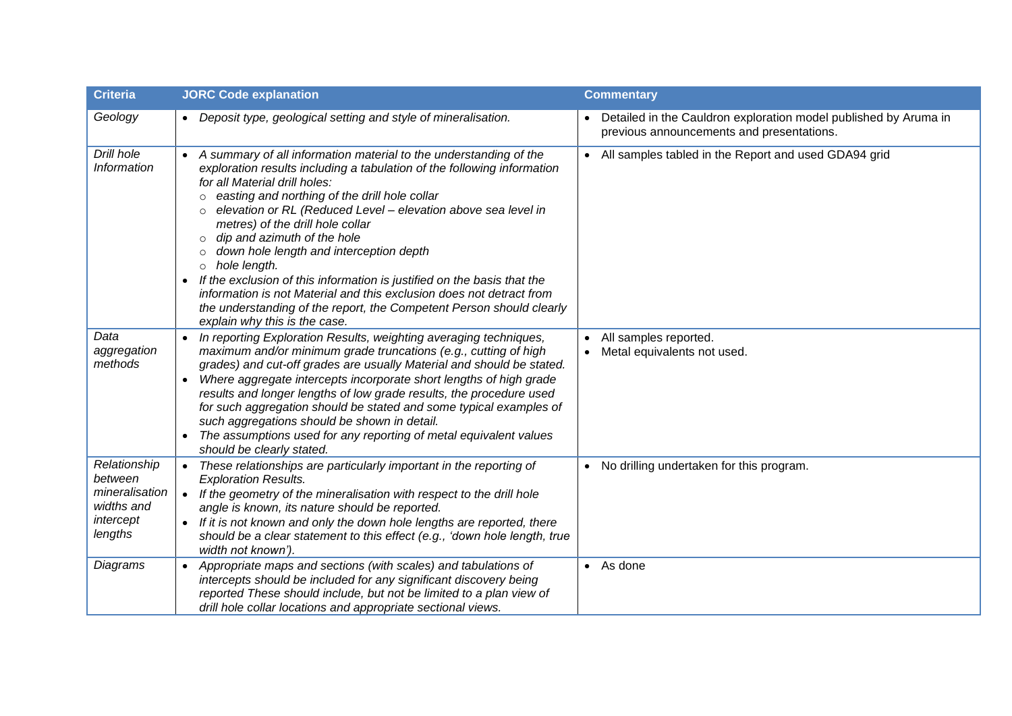| <b>Criteria</b>                                                                 | <b>JORC Code explanation</b>                                                                                                                                                                                                                                                                                                                                                                                                                                                                                                                                                                                                                                                                                                                                  | <b>Commentary</b>                                                                                               |
|---------------------------------------------------------------------------------|---------------------------------------------------------------------------------------------------------------------------------------------------------------------------------------------------------------------------------------------------------------------------------------------------------------------------------------------------------------------------------------------------------------------------------------------------------------------------------------------------------------------------------------------------------------------------------------------------------------------------------------------------------------------------------------------------------------------------------------------------------------|-----------------------------------------------------------------------------------------------------------------|
| Geology                                                                         | Deposit type, geological setting and style of mineralisation.                                                                                                                                                                                                                                                                                                                                                                                                                                                                                                                                                                                                                                                                                                 | • Detailed in the Cauldron exploration model published by Aruma in<br>previous announcements and presentations. |
| Drill hole<br>Information                                                       | A summary of all information material to the understanding of the<br>exploration results including a tabulation of the following information<br>for all Material drill holes:<br>easting and northing of the drill hole collar<br>$\circ$<br>elevation or RL (Reduced Level - elevation above sea level in<br>$\circ$<br>metres) of the drill hole collar<br>dip and azimuth of the hole<br>$\circ$<br>down hole length and interception depth<br>$\circ$<br>hole length.<br>$\circ$<br>If the exclusion of this information is justified on the basis that the<br>$\bullet$<br>information is not Material and this exclusion does not detract from<br>the understanding of the report, the Competent Person should clearly<br>explain why this is the case. | • All samples tabled in the Report and used GDA94 grid                                                          |
| Data<br>aggregation<br>methods                                                  | In reporting Exploration Results, weighting averaging techniques,<br>$\bullet$<br>maximum and/or minimum grade truncations (e.g., cutting of high<br>grades) and cut-off grades are usually Material and should be stated.<br>Where aggregate intercepts incorporate short lengths of high grade<br>$\bullet$<br>results and longer lengths of low grade results, the procedure used<br>for such aggregation should be stated and some typical examples of<br>such aggregations should be shown in detail.<br>The assumptions used for any reporting of metal equivalent values<br>should be clearly stated.                                                                                                                                                  | All samples reported.<br>Metal equivalents not used.                                                            |
| Relationship<br>between<br>mineralisation<br>widths and<br>intercept<br>lengths | These relationships are particularly important in the reporting of<br>$\bullet$<br><b>Exploration Results.</b><br>If the geometry of the mineralisation with respect to the drill hole<br>$\bullet$<br>angle is known, its nature should be reported.<br>If it is not known and only the down hole lengths are reported, there<br>$\bullet$<br>should be a clear statement to this effect (e.g., 'down hole length, true<br>width not known').                                                                                                                                                                                                                                                                                                                | • No drilling undertaken for this program.                                                                      |
| Diagrams                                                                        | Appropriate maps and sections (with scales) and tabulations of<br>intercepts should be included for any significant discovery being<br>reported These should include, but not be limited to a plan view of<br>drill hole collar locations and appropriate sectional views.                                                                                                                                                                                                                                                                                                                                                                                                                                                                                    | $\bullet$ As done                                                                                               |